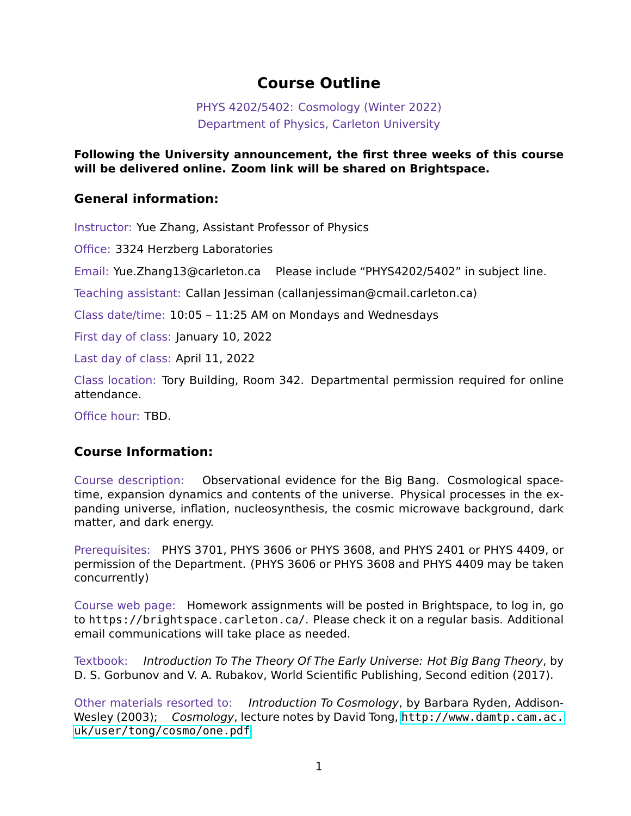#### **Course Outline**

PHYS 4202/5402: Cosmology (Winter 2022) Department of Physics, Carleton University

**Following the University announcement, the first three weeks of this course will be delivered online. Zoom link will be shared on Brightspace.**

#### **General information:**

Instructor: Yue Zhang, Assistant Professor of Physics

Office: 3324 Herzberg Laboratories

Email: Yue.Zhang13@carleton.ca Please include "PHYS4202/5402" in subject line.

Teaching assistant: Callan Jessiman (callanjessiman@cmail.carleton.ca)

Class date/time: 10:05 – 11:25 AM on Mondays and Wednesdays

First day of class: January 10, 2022

Last day of class: April 11, 2022

Class location: Tory Building, Room 342. Departmental permission required for online attendance.

Office hour: TBD.

#### **Course Information:**

Course description: Observational evidence for the Big Bang. Cosmological spacetime, expansion dynamics and contents of the universe. Physical processes in the expanding universe, inflation, nucleosynthesis, the cosmic microwave background, dark matter, and dark energy.

Prerequisites: PHYS 3701, PHYS 3606 or PHYS 3608, and PHYS 2401 or PHYS 4409, or permission of the Department. (PHYS 3606 or PHYS 3608 and PHYS 4409 may be taken concurrently)

Course web page: Homework assignments will be posted in Brightspace, to log in, go to https://brightspace.carleton.ca/. Please check it on a regular basis. Additional email communications will take place as needed.

Textbook: *Introduction To The Theory Of The Early Universe: Hot Big Bang Theory*, by D. S. Gorbunov and V. A. Rubakov, World Scientific Publishing, Second edition (2017).

Other materials resorted to: *Introduction To Cosmology*, by Barbara Ryden, Addison-Wesley (2003); *Cosmology*, lecture notes by David Tong, [http://www.damtp.cam.ac.](http://www.damtp.cam.ac.uk/user/tong/cosmo/one.pdf) [uk/user/tong/cosmo/one.pdf](http://www.damtp.cam.ac.uk/user/tong/cosmo/one.pdf)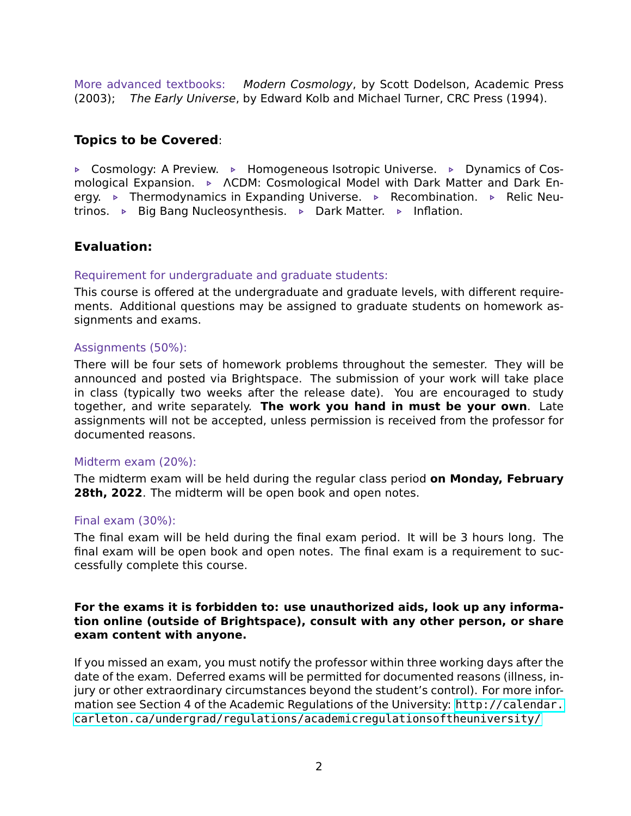More advanced textbooks: *Modern Cosmology*, by Scott Dodelson, Academic Press (2003); *The Early Universe*, by Edward Kolb and Michael Turner, CRC Press (1994).

#### **Topics to be Covered**:

**EX** Cosmology: A Preview. ▶ Homogeneous Isotropic Universe. ▶ Dynamics of Cosmological Expansion. **▶ ACDM: Cosmological Model with Dark Matter and Dark En**ergy. **▶** Thermodynamics in Expanding Universe. ▶ Recombination. ▶ Relic Neutrinos. **▶** Big Bang Nucleosynthesis. ▶ Dark Matter. ▶ Inflation.

#### **Evaluation:**

#### Requirement for undergraduate and graduate students:

This course is offered at the undergraduate and graduate levels, with different requirements. Additional questions may be assigned to graduate students on homework assignments and exams.

#### Assignments (50%):

There will be four sets of homework problems throughout the semester. They will be announced and posted via Brightspace. The submission of your work will take place in class (typically two weeks after the release date). You are encouraged to study together, and write separately. **The work you hand in must be your own**. Late assignments will not be accepted, unless permission is received from the professor for documented reasons.

#### Midterm exam (20%):

The midterm exam will be held during the regular class period **on Monday, February 28th, 2022**. The midterm will be open book and open notes.

#### Final exam (30%):

The final exam will be held during the final exam period. It will be 3 hours long. The final exam will be open book and open notes. The final exam is a requirement to successfully complete this course.

#### **For the exams it is forbidden to: use unauthorized aids, look up any information online (outside of Brightspace), consult with any other person, or share exam content with anyone.**

If you missed an exam, you must notify the professor within three working days after the date of the exam. Deferred exams will be permitted for documented reasons (illness, injury or other extraordinary circumstances beyond the student's control). For more information see Section 4 of the Academic Regulations of the University: [http://calendar.](http://calendar.carleton.ca/undergrad/regulations/academicregulationsoftheuniversity/) [carleton.ca/undergrad/regulations/academicregulationsoftheuniversity/](http://calendar.carleton.ca/undergrad/regulations/academicregulationsoftheuniversity/)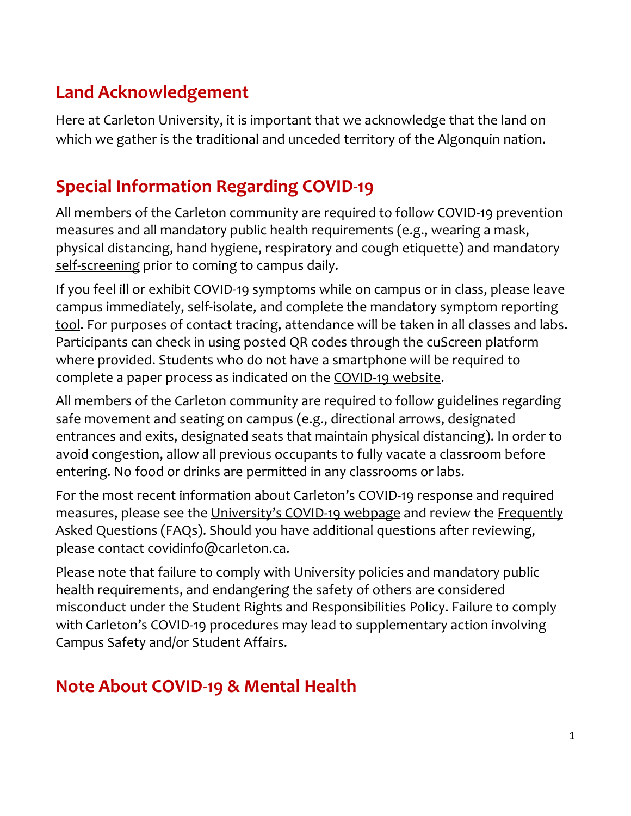## **Land Acknowledgement**

Here at Carleton University, it is important that we acknowledge that the land on which we gather is the traditional and unceded territory of the Algonquin nation.

# **Special Information Regarding COVID-19**

All members of the Carleton community are required to follow COVID-19 prevention measures and all mandatory public health requirements (e.g., wearing a mask, physical distancing, hand hygiene, respiratory and cough etiquette) and mandatory self-screening prior to coming to campus daily.

If you feel ill or exhibit COVID-19 symptoms while on campus or in class, please leave campus immediately, self-isolate, and complete the mandatory symptom reporting tool. For purposes of contact tracing, attendance will be taken in all classes and labs. Participants can check in using posted QR codes through the cuScreen platform where provided. Students who do not have a smartphone will be required to complete a paper process as indicated on the COVID-19 website.

All members of the Carleton community are required to follow guidelines regarding safe movement and seating on campus (e.g., directional arrows, designated entrances and exits, designated seats that maintain physical distancing). In order to avoid congestion, allow all previous occupants to fully vacate a classroom before entering. No food or drinks are permitted in any classrooms or labs.

For the most recent information about Carleton's COVID-19 response and required measures, please see the University's COVID-19 webpage and review the Frequently Asked Questions (FAQs). Should you have additional questions after reviewing, please contact covidinfo@carleton.ca.

Please note that failure to comply with University policies and mandatory public health requirements, and endangering the safety of others are considered misconduct under the Student Rights and Responsibilities Policy. Failure to comply with Carleton's COVID-19 procedures may lead to supplementary action involving Campus Safety and/or Student Affairs.

# **Note About COVID-19 & Mental Health**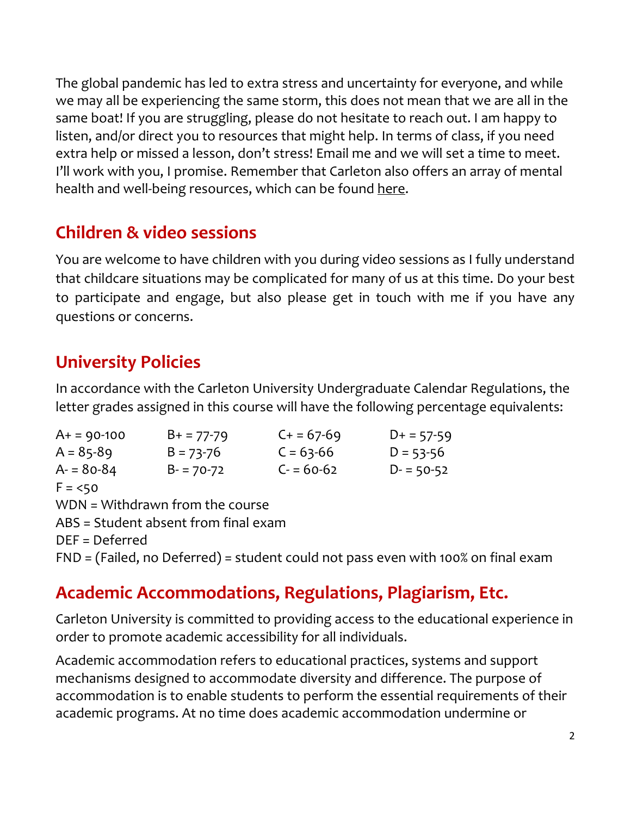The global pandemic has led to extra stress and uncertainty for everyone, and while we may all be experiencing the same storm, this does not mean that we are all in the same boat! If you are struggling, please do not hesitate to reach out. I am happy to listen, and/or direct you to resources that might help. In terms of class, if you need extra help or missed a lesson, don't stress! Email me and we will set a time to meet. I'll work with you, I promise. Remember that Carleton also offers an array of mental health and well-being resources, which can be found here.

## **Children & video sessions**

You are welcome to have children with you during video sessions as I fully understand that childcare situations may be complicated for many of us at this time. Do your best to participate and engage, but also please get in touch with me if you have any questions or concerns.

## **University Policies**

In accordance with the Carleton University Undergraduate Calendar Regulations, the letter grades assigned in this course will have the following percentage equivalents:

| $A+ = 90-100$    | $B+ = 77-79$                         | $C + 57-69$ | $D+ = 57-59$  |
|------------------|--------------------------------------|-------------|---------------|
| $A = 85-89$      | $B = 73 - 76$                        | $C = 63-66$ | $D = 53 - 56$ |
| $A = 80-84$      | $B - 70 - 72$                        | $C = 60-62$ | $D - 50-52$   |
| $F = 50$         |                                      |             |               |
|                  | WDN = Withdrawn from the course      |             |               |
|                  | ABS = Student absent from final exam |             |               |
| $DEF = Deferred$ |                                      |             |               |

FND = (Failed, no Deferred) = student could not pass even with 100% on final exam

## **Academic Accommodations, Regulations, Plagiarism, Etc.**

Carleton University is committed to providing access to the educational experience in order to promote academic accessibility for all individuals.

Academic accommodation refers to educational practices, systems and support mechanisms designed to accommodate diversity and difference. The purpose of accommodation is to enable students to perform the essential requirements of their academic programs. At no time does academic accommodation undermine or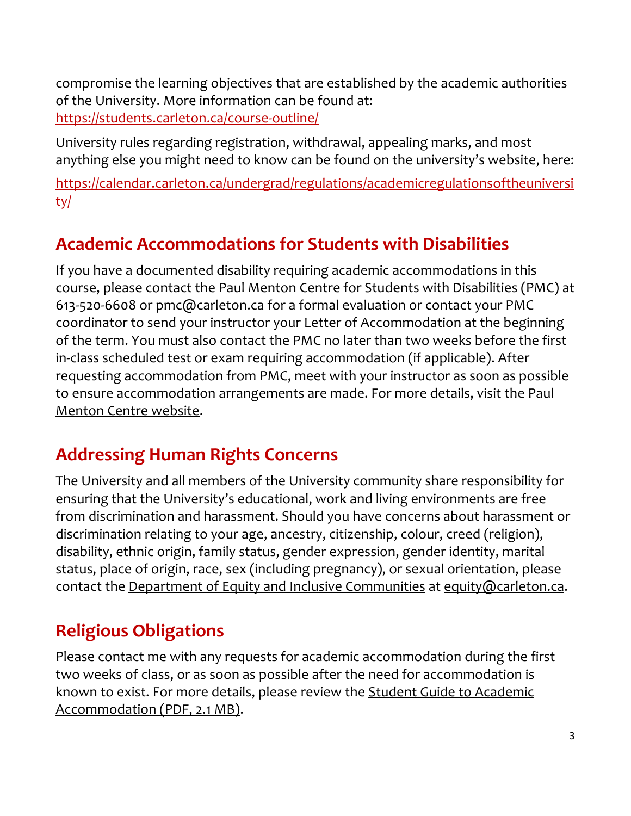compromise the learning objectives that are established by the academic authorities of the University. More information can be found at: https://students.carleton.ca/course-outline/

University rules regarding registration, withdrawal, appealing marks, and most anything else you might need to know can be found on the university's website, here:

https://calendar.carleton.ca/undergrad/regulations/academicregulationsoftheuniversi ty/

# **Academic Accommodations for Students with Disabilities**

If you have a documented disability requiring academic accommodations in this course, please contact the Paul Menton Centre for Students with Disabilities (PMC) at 613-520-6608 or pmc@carleton.ca for a formal evaluation or contact your PMC coordinator to send your instructor your Letter of Accommodation at the beginning of the term. You must also contact the PMC no later than two weeks before the first in-class scheduled test or exam requiring accommodation (if applicable). After requesting accommodation from PMC, meet with your instructor as soon as possible to ensure accommodation arrangements are made. For more details, visit the Paul Menton Centre website.

## **Addressing Human Rights Concerns**

The University and all members of the University community share responsibility for ensuring that the University's educational, work and living environments are free from discrimination and harassment. Should you have concerns about harassment or discrimination relating to your age, ancestry, citizenship, colour, creed (religion), disability, ethnic origin, family status, gender expression, gender identity, marital status, place of origin, race, sex (including pregnancy), or sexual orientation, please contact the Department of Equity and Inclusive Communities at equity@carleton.ca.

# **Religious Obligations**

Please contact me with any requests for academic accommodation during the first two weeks of class, or as soon as possible after the need for accommodation is known to exist. For more details, please review the Student Guide to Academic Accommodation (PDF, 2.1 MB).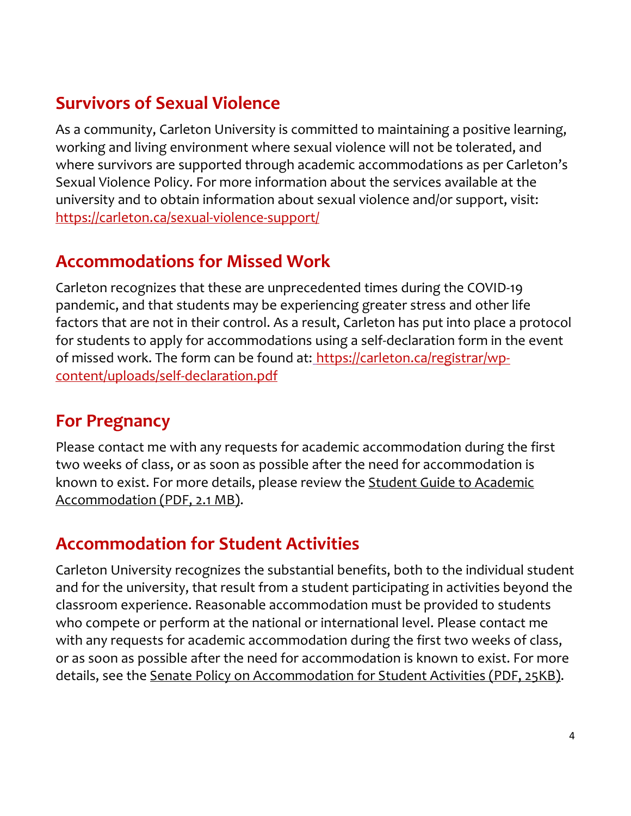## **Survivors of Sexual Violence**

As a community, Carleton University is committed to maintaining a positive learning, working and living environment where sexual violence will not be tolerated, and where survivors are supported through academic accommodations as per Carleton's Sexual Violence Policy. For more information about the services available at the university and to obtain information about sexual violence and/or support, visit: https://carleton.ca/sexual-violence-support/

## **Accommodations for Missed Work**

Carleton recognizes that these are unprecedented times during the COVID-19 pandemic, and that students may be experiencing greater stress and other life factors that are not in their control. As a result, Carleton has put into place a protocol for students to apply for accommodations using a self-declaration form in the event of missed work. The form can be found at: https://carleton.ca/registrar/wpcontent/uploads/self-declaration.pdf

### **For Pregnancy**

Please contact me with any requests for academic accommodation during the first two weeks of class, or as soon as possible after the need for accommodation is known to exist. For more details, please review the Student Guide to Academic Accommodation (PDF, 2.1 MB).

## **Accommodation for Student Activities**

Carleton University recognizes the substantial benefits, both to the individual student and for the university, that result from a student participating in activities beyond the classroom experience. Reasonable accommodation must be provided to students who compete or perform at the national or international level. Please contact me with any requests for academic accommodation during the first two weeks of class, or as soon as possible after the need for accommodation is known to exist. For more details, see the Senate Policy on Accommodation for Student Activities (PDF, 25KB).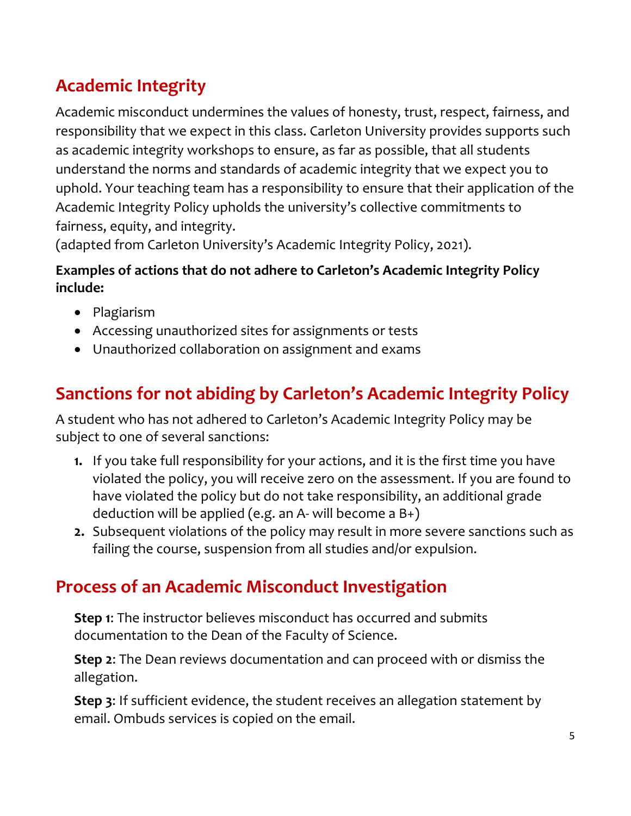# **Academic Integrity**

Academic misconduct undermines the values of honesty, trust, respect, fairness, and responsibility that we expect in this class. Carleton University provides supports such as academic integrity workshops to ensure, as far as possible, that all students understand the norms and standards of academic integrity that we expect you to uphold. Your teaching team has a responsibility to ensure that their application of the Academic Integrity Policy upholds the university's collective commitments to fairness, equity, and integrity.

(adapted from Carleton University's Academic Integrity Policy, 2021).

#### **Examples of actions that do not adhere to Carleton's Academic Integrity Policy include:**

- Plagiarism
- Accessing unauthorized sites for assignments or tests
- Unauthorized collaboration on assignment and exams

# **Sanctions for not abiding by Carleton's Academic Integrity Policy**

A student who has not adhered to Carleton's Academic Integrity Policy may be subject to one of several sanctions:

- **1.** If you take full responsibility for your actions, and it is the first time you have violated the policy, you will receive zero on the assessment. If you are found to have violated the policy but do not take responsibility, an additional grade deduction will be applied (e.g. an A- will become a B+)
- **2.** Subsequent violations of the policy may result in more severe sanctions such as failing the course, suspension from all studies and/or expulsion.

## **Process of an Academic Misconduct Investigation**

**Step 1**: The instructor believes misconduct has occurred and submits documentation to the Dean of the Faculty of Science.

**Step 2**: The Dean reviews documentation and can proceed with or dismiss the allegation.

**Step 3**: If sufficient evidence, the student receives an allegation statement by email. Ombuds services is copied on the email.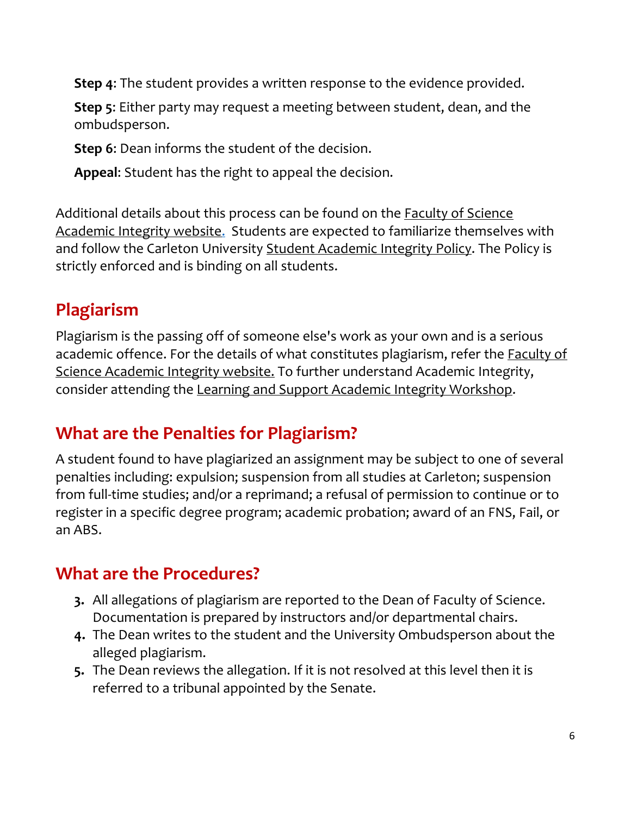**Step 4**: The student provides a written response to the evidence provided.

**Step 5**: Either party may request a meeting between student, dean, and the ombudsperson.

**Step 6**: Dean informs the student of the decision.

**Appeal**: Student has the right to appeal the decision.

Additional details about this process can be found on the Faculty of Science Academic Integrity website. Students are expected to familiarize themselves with and follow the Carleton University Student Academic Integrity Policy. The Policy is strictly enforced and is binding on all students.

# **Plagiarism**

Plagiarism is the passing off of someone else's work as your own and is a serious academic offence. For the details of what constitutes plagiarism, refer the **Faculty of** Science Academic Integrity website. To further understand Academic Integrity, consider attending the Learning and Support Academic Integrity Workshop.

## **What are the Penalties for Plagiarism?**

A student found to have plagiarized an assignment may be subject to one of several penalties including: expulsion; suspension from all studies at Carleton; suspension from full-time studies; and/or a reprimand; a refusal of permission to continue or to register in a specific degree program; academic probation; award of an FNS, Fail, or an ABS.

# **What are the Procedures?**

- **3.** All allegations of plagiarism are reported to the Dean of Faculty of Science. Documentation is prepared by instructors and/or departmental chairs.
- **4.** The Dean writes to the student and the University Ombudsperson about the alleged plagiarism.
- **5.** The Dean reviews the allegation. If it is not resolved at this level then it is referred to a tribunal appointed by the Senate.